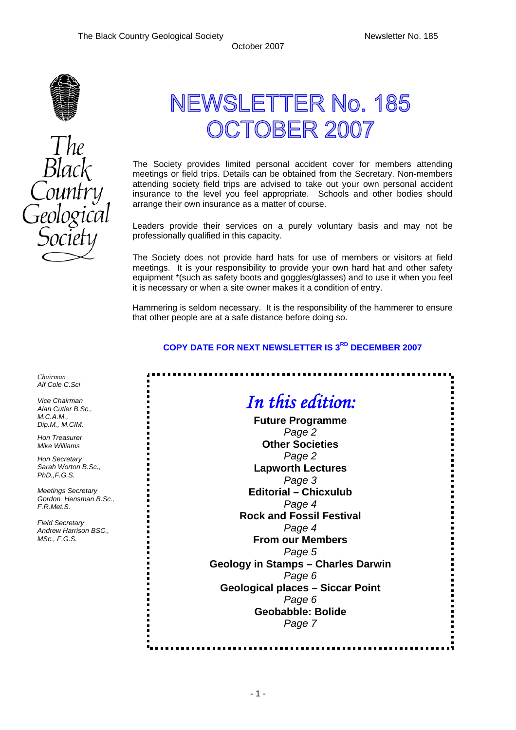

# NEWSLETTER No. 185 **TOBER 2007**

The Society provides limited personal accident cover for members attending meetings or field trips. Details can be obtained from the Secretary. Non-members attending society field trips are advised to take out your own personal accident insurance to the level you feel appropriate. Schools and other bodies should arrange their own insurance as a matter of course.

Leaders provide their services on a purely voluntary basis and may not be professionally qualified in this capacity.

The Society does not provide hard hats for use of members or visitors at field meetings. It is your responsibility to provide your own hard hat and other safety equipment \*(such as safety boots and goggles/glasses) and to use it when you feel it is necessary or when a site owner makes it a condition of entry.

Hammering is seldom necessary. It is the responsibility of the hammerer to ensure that other people are at a safe distance before doing so.

## **COPY DATE FOR NEXT NEWSLETTER IS 3RD DECEMBER 2007**

|                              | In this edition:                          |  |  |
|------------------------------|-------------------------------------------|--|--|
| <b>Future Programme</b>      |                                           |  |  |
|                              | Page 2                                    |  |  |
| <b>Other Societies</b>       |                                           |  |  |
|                              | Page 2                                    |  |  |
| <b>Lapworth Lectures</b>     |                                           |  |  |
|                              | Page 3                                    |  |  |
| <b>Editorial - Chicxulub</b> |                                           |  |  |
|                              | Page 4                                    |  |  |
|                              | <b>Rock and Fossil Festival</b>           |  |  |
|                              | Page 4                                    |  |  |
|                              | <b>From our Members</b>                   |  |  |
|                              | Page 5                                    |  |  |
|                              | <b>Geology in Stamps - Charles Darwin</b> |  |  |
|                              | Page 6                                    |  |  |
|                              | <b>Geological places - Siccar Point</b>   |  |  |
|                              | Page 6                                    |  |  |
| <b>Geobabble: Bolide</b>     |                                           |  |  |
|                              | Page 7                                    |  |  |

*Chairman Alf Cole C.Sci* 

*Vice Chairman Alan Cutler B.Sc., M.C.A.M., Dip.M., M.CIM.* 

*Hon Treasurer Mike Williams* 

*Hon Secretary Sarah Worton B.Sc., PhD.,F.G.S.* 

*Meetings Secretary Gordon Hensman B.Sc., F.R.Met.S.* 

*Field Secretary Andrew Harrison BSC., MSc., F.G.S.* 

- 1 -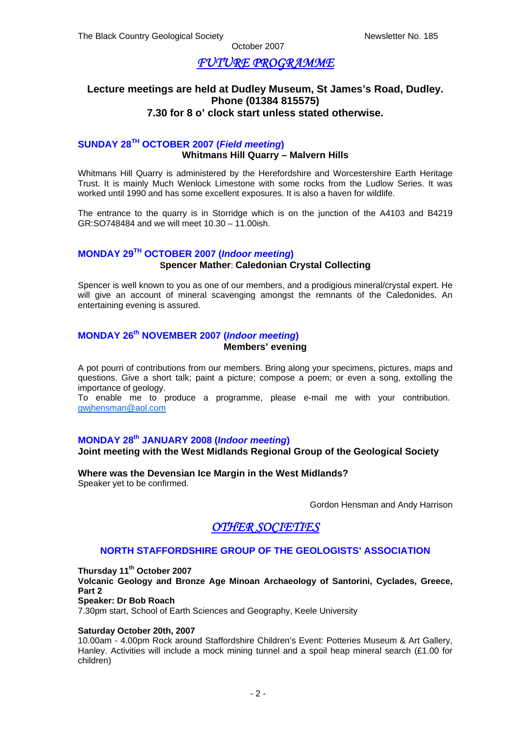# *FUTURE PROGRAMME*

## **Lecture meetings are held at Dudley Museum, St James's Road, Dudley. Phone (01384 815575) 7.30 for 8 o' clock start unless stated otherwise.**

## **SUNDAY 28TH OCTOBER 2007 (***Field meeting***) Whitmans Hill Quarry – Malvern Hills**

Whitmans Hill Quarry is administered by the Herefordshire and Worcestershire Earth Heritage Trust. It is mainly Much Wenlock Limestone with some rocks from the Ludlow Series. It was worked until 1990 and has some excellent exposures. It is also a haven for wildlife.

The entrance to the quarry is in Storridge which is on the junction of the A4103 and B4219 GR:SO748484 and we will meet 10.30 – 11.00ish.

## **MONDAY 29TH OCTOBER 2007 (***Indoor meeting***)**

## **Spencer Mather**: **Caledonian Crystal Collecting**

Spencer is well known to you as one of our members, and a prodigious mineral/crystal expert. He will give an account of mineral scavenging amongst the remnants of the Caledonides. An entertaining evening is assured.

#### **MONDAY 26th NOVEMBER 2007 (***Indoor meeting***) Members' evening**

A pot pourri of contributions from our members. Bring along your specimens, pictures, maps and questions. Give a short talk; paint a picture; compose a poem; or even a song, extolling the importance of geology.

To enable me to produce a programme, please e-mail me with your contribution. gwjhensman@aol.com

## **MONDAY 28th JANUARY 2008 (***Indoor meeting***)**

#### **Joint meeting with the West Midlands Regional Group of the Geological Society**

**Where was the Devensian Ice Margin in the West Midlands?**  Speaker yet to be confirmed.

Gordon Hensman and Andy Harrison

## *OTHER SOCIETIES*

## **NORTH STAFFORDSHIRE GROUP OF THE GEOLOGISTS' ASSOCIATION**

**Thursday 11th October 2007** 

**Volcanic Geology and Bronze Age Minoan Archaeology of Santorini, Cyclades, Greece, Part 2** 

**Speaker: Dr Bob Roach**

7.30pm start, School of Earth Sciences and Geography, Keele University

#### **Saturday October 20th, 2007**

10.00am - 4.00pm Rock around Staffordshire Children's Event: Potteries Museum & Art Gallery, Hanley. Activities will include a mock mining tunnel and a spoil heap mineral search (£1.00 for children)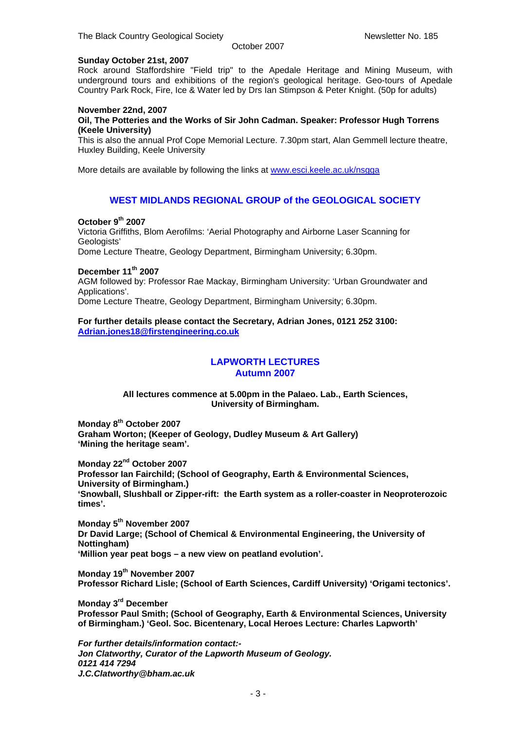#### **Sunday October 21st, 2007**

Rock around Staffordshire "Field trip" to the Apedale Heritage and Mining Museum, with underground tours and exhibitions of the region's geological heritage. Geo-tours of Apedale Country Park Rock, Fire, Ice & Water led by Drs Ian Stimpson & Peter Knight. (50p for adults)

#### **November 22nd, 2007**

#### **Oil, The Potteries and the Works of Sir John Cadman. Speaker: Professor Hugh Torrens (Keele University)**

This is also the annual Prof Cope Memorial Lecture. 7.30pm start, Alan Gemmell lecture theatre, Huxley Building, Keele University

More details are available by following the links at www.esci.keele.ac.uk/nsqqa

#### **WEST MIDLANDS REGIONAL GROUP of the GEOLOGICAL SOCIETY**

#### **October 9th 2007**

Victoria Griffiths, Blom Aerofilms: 'Aerial Photography and Airborne Laser Scanning for Geologists' Dome Lecture Theatre, Geology Department, Birmingham University; 6.30pm.

#### **December 11th 2007**

AGM followed by: Professor Rae Mackay, Birmingham University: 'Urban Groundwater and Applications'.

Dome Lecture Theatre, Geology Department, Birmingham University; 6.30pm.

#### **For further details please contact the Secretary, Adrian Jones, 0121 252 3100: Adrian.jones18@firstengineering.co.uk**

# **LAPWORTH LECTURES**

## **Autumn 2007**

**All lectures commence at 5.00pm in the Palaeo. Lab., Earth Sciences, University of Birmingham.** 

**Monday 8th October 2007 Graham Worton; (Keeper of Geology, Dudley Museum & Art Gallery) 'Mining the heritage seam'.** 

**Monday 22nd October 2007 Professor Ian Fairchild; (School of Geography, Earth & Environmental Sciences, University of Birmingham.) 'Snowball, Slushball or Zipper-rift: the Earth system as a roller-coaster in Neoproterozoic times'.** 

**Monday 5th November 2007 Dr David Large; (School of Chemical & Environmental Engineering, the University of Nottingham) 'Million year peat bogs – a new view on peatland evolution'.** 

**Monday 19th November 2007 Professor Richard Lisle; (School of Earth Sciences, Cardiff University) 'Origami tectonics'.** 

**Monday 3rd December Professor Paul Smith; (School of Geography, Earth & Environmental Sciences, University of Birmingham.) 'Geol. Soc. Bicentenary, Local Heroes Lecture: Charles Lapworth'** 

*For further details/information contact:- Jon Clatworthy, Curator of the Lapworth Museum of Geology. 0121 414 7294 J.C.Clatworthy@bham.ac.uk*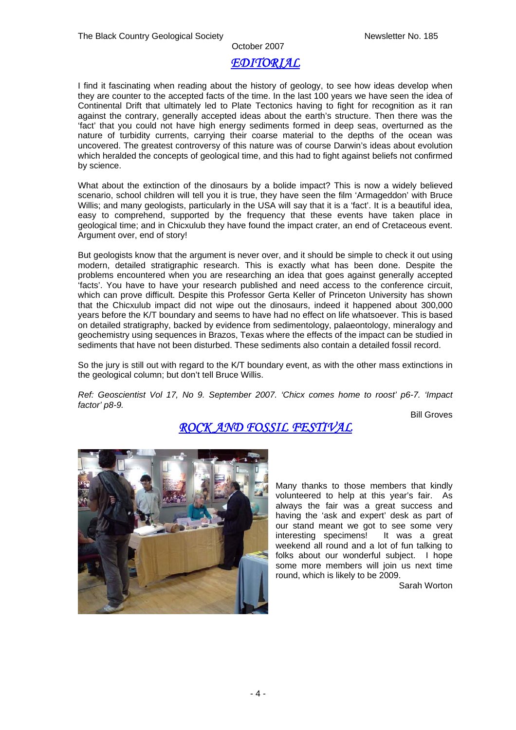## October 2007 *EDITORIAL*

I find it fascinating when reading about the history of geology, to see how ideas develop when they are counter to the accepted facts of the time. In the last 100 years we have seen the idea of Continental Drift that ultimately led to Plate Tectonics having to fight for recognition as it ran against the contrary, generally accepted ideas about the earth's structure. Then there was the 'fact' that you could not have high energy sediments formed in deep seas, overturned as the nature of turbidity currents, carrying their coarse material to the depths of the ocean was uncovered. The greatest controversy of this nature was of course Darwin's ideas about evolution which heralded the concepts of geological time, and this had to fight against beliefs not confirmed by science.

What about the extinction of the dinosaurs by a bolide impact? This is now a widely believed scenario, school children will tell you it is true, they have seen the film 'Armageddon' with Bruce Willis; and many geologists, particularly in the USA will say that it is a 'fact'. It is a beautiful idea, easy to comprehend, supported by the frequency that these events have taken place in geological time; and in Chicxulub they have found the impact crater, an end of Cretaceous event. Argument over, end of story!

But geologists know that the argument is never over, and it should be simple to check it out using modern, detailed stratigraphic research. This is exactly what has been done. Despite the problems encountered when you are researching an idea that goes against generally accepted 'facts'. You have to have your research published and need access to the conference circuit, which can prove difficult. Despite this Professor Gerta Keller of Princeton University has shown that the Chicxulub impact did not wipe out the dinosaurs, indeed it happened about 300,000 years before the K/T boundary and seems to have had no effect on life whatsoever. This is based on detailed stratigraphy, backed by evidence from sedimentology, palaeontology, mineralogy and geochemistry using sequences in Brazos, Texas where the effects of the impact can be studied in sediments that have not been disturbed. These sediments also contain a detailed fossil record.

So the jury is still out with regard to the K/T boundary event, as with the other mass extinctions in the geological column; but don't tell Bruce Willis.

*Ref: Geoscientist Vol 17, No 9. September 2007. 'Chicx comes home to roost' p6-7. 'Impact factor' p8-9.* 

Bill Groves

# *ROCK AND FOSSIL FESTIVAL*



Many thanks to those members that kindly volunteered to help at this year's fair. As always the fair was a great success and having the 'ask and expert' desk as part of our stand meant we got to see some very interesting specimens! It was a great weekend all round and a lot of fun talking to folks about our wonderful subject. I hope some more members will join us next time round, which is likely to be 2009.

Sarah Worton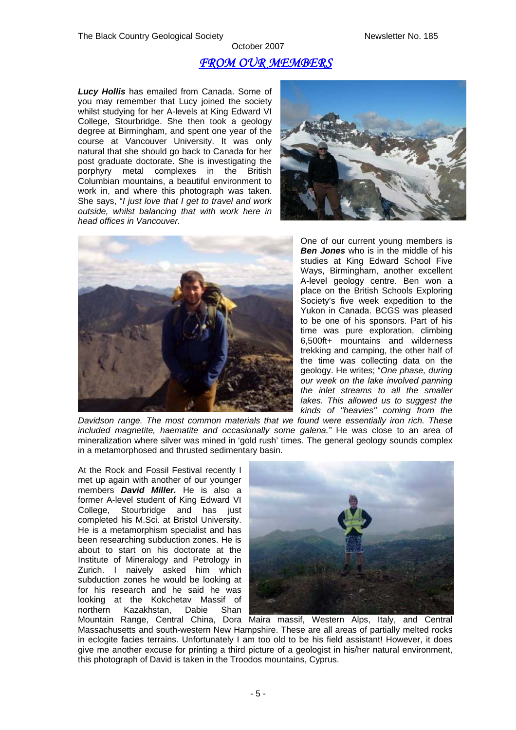# October 2007 *FROM OUR MEMBERS*

*Lucy Hollis* has emailed from Canada. Some of you may remember that Lucy joined the society whilst studying for her A-levels at King Edward VI College, Stourbridge. She then took a geology degree at Birmingham, and spent one year of the course at Vancouver University. It was only natural that she should go back to Canada for her post graduate doctorate. She is investigating the porphyry metal complexes in the British Columbian mountains, a beautiful environment to work in, and where this photograph was taken. She says, "*I just love that I get to travel and work outside, whilst balancing that with work here in head offices in Vancouver.* 





One of our current young members is *Ben Jones* who is in the middle of his studies at King Edward School Five Ways, Birmingham, another excellent A-level geology centre. Ben won a place on the British Schools Exploring Society's five week expedition to the Yukon in Canada. BCGS was pleased to be one of his sponsors. Part of his time was pure exploration, climbing 6,500ft+ mountains and wilderness trekking and camping, the other half of the time was collecting data on the geology. He writes; "*One phase, during our week on the lake involved panning the inlet streams to all the smaller lakes. This allowed us to suggest the kinds of "heavies" coming from the* 

*Davidson range. The most common materials that we found were essentially iron rich. These included magnetite, haematite and occasionally some galena."* He was close to an area of mineralization where silver was mined in 'gold rush' times. The general geology sounds complex in a metamorphosed and thrusted sedimentary basin.

At the Rock and Fossil Festival recently I met up again with another of our younger members *David Miller.* He is also a former A-level student of King Edward VI College, Stourbridge and has just completed his M.Sci. at Bristol University. He is a metamorphism specialist and has been researching subduction zones. He is about to start on his doctorate at the Institute of Mineralogy and Petrology in Zurich. I naively asked him which subduction zones he would be looking at for his research and he said he was looking at the Kokchetav Massif of northern Kazakhstan, Dabie Shan



Mountain Range, Central China, Dora Maira massif, Western Alps, Italy, and Central Massachusetts and south-western New Hampshire. These are all areas of partially melted rocks in eclogite facies terrains. Unfortunately I am too old to be his field assistant! However, it does give me another excuse for printing a third picture of a geologist in his/her natural environment, this photograph of David is taken in the Troodos mountains, Cyprus.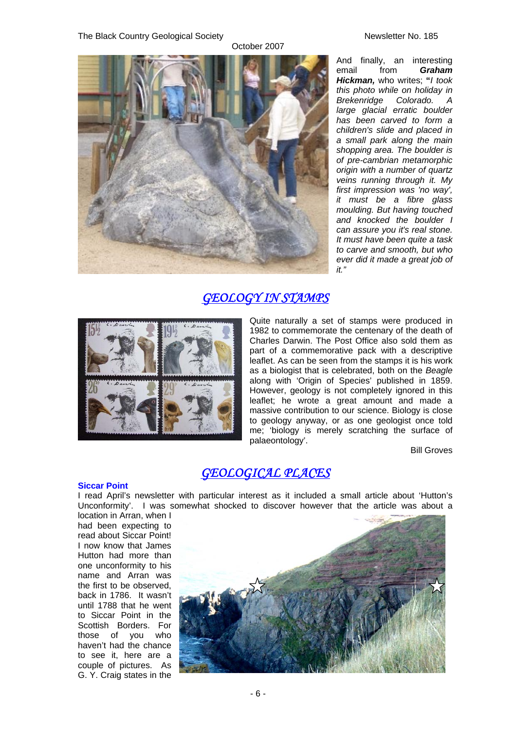#### The Black Country Geological Society Newsletter No. 185



And finally, an interesting email from *Graham Hickman,* who writes; **"***I took this photo while on holiday in Brekenridge Colorado. A large glacial erratic boulder has been carved to form a children's slide and placed in a small park along the main shopping area. The boulder is of pre-cambrian metamorphic origin with a number of quartz veins running through it. My first impression was 'no way', it must be a fibre glass moulding. But having touched and knocked the boulder I can assure you it's real stone. It must have been quite a task to carve and smooth, but who ever did it made a great job of it."* 

# *GEOLOGY IN STAMPS*



Quite naturally a set of stamps were produced in 1982 to commemorate the centenary of the death of Charles Darwin. The Post Office also sold them as part of a commemorative pack with a descriptive leaflet. As can be seen from the stamps it is his work as a biologist that is celebrated, both on the *Beagle*  along with 'Origin of Species' published in 1859. However, geology is not completely ignored in this leaflet; he wrote a great amount and made a massive contribution to our science. Biology is close to geology anyway, or as one geologist once told me; 'biology is merely scratching the surface of palaeontology'.

Bill Groves

# *GEOLOGICAL PLACES*

**Siccar Point**  I read April's newsletter with particular interest as it included a small article about 'Hutton's Unconformity'. I was somewhat shocked to discover however that the article was about a

location in Arran, when I had been expecting to read about Siccar Point! I now know that James Hutton had more than one unconformity to his name and Arran was the first to be observed, back in 1786. It wasn't until 1788 that he went to Siccar Point in the Scottish Borders. For those of you who haven't had the chance to see it, here are a couple of pictures. As G. Y. Craig states in the

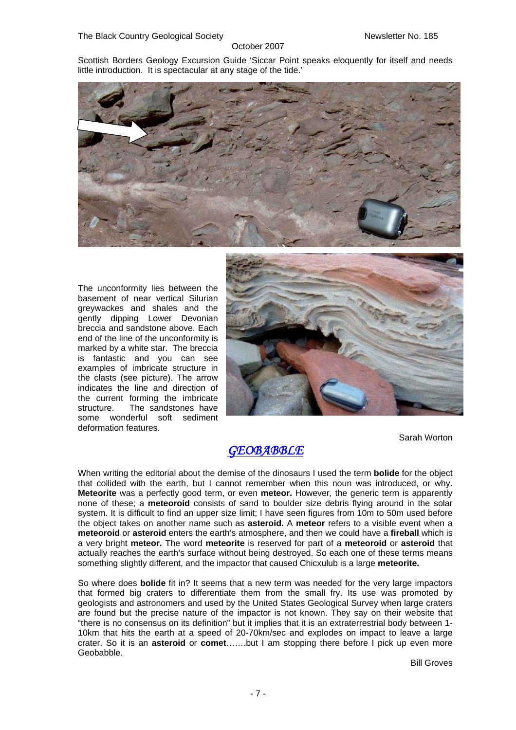Scottish Borders Geology Excursion Guide 'Siccar Point speaks eloquently for itself and needs little introduction. It is spectacular at any stage of the tide.'



The unconformity lies between the basement of near vertical Silurian greywackes and shales and the gently dipping Lower Devonian breccia and sandstone above. Each end of the line of the unconformity is marked by a white star. The breccia is fantastic and you can see examples of imbricate structure in the clasts (see picture). The arrow indicates the line and direction of the current forming the imbricate structure. The sandstones have some wonderful soft sediment deformation features.



Sarah Worton

# *GEOBABBLE*

When writing the editorial about the demise of the dinosaurs I used the term **bolide** for the object that collided with the earth, but I cannot remember when this noun was introduced, or why. **Meteorite** was a perfectly good term, or even **meteor.** However, the generic term is apparently none of these; a **meteoroid** consists of sand to boulder size debris flying around in the solar system. It is difficult to find an upper size limit; I have seen figures from 10m to 50m used before the object takes on another name such as **asteroid.** A **meteor** refers to a visible event when a **meteoroid** or **asteroid** enters the earth's atmosphere, and then we could have a **fireball** which is a very bright **meteor.** The word **meteorite** is reserved for part of a **meteoroid** or **asteroid** that actually reaches the earth's surface without being destroyed. So each one of these terms means something slightly different, and the impactor that caused Chicxulub is a large **meteorite.**

So where does **bolide** fit in? It seems that a new term was needed for the very large impactors that formed big craters to differentiate them from the small fry. Its use was promoted by geologists and astronomers and used by the United States Geological Survey when large craters are found but the precise nature of the impactor is not known. They say on their website that "there is no consensus on its definition" but it implies that it is an extraterrestrial body between 1- 10km that hits the earth at a speed of 20-70km/sec and explodes on impact to leave a large crater. So it is an **asteroid** or **comet**…….but I am stopping there before I pick up even more **Geobabble** 

Bill Groves